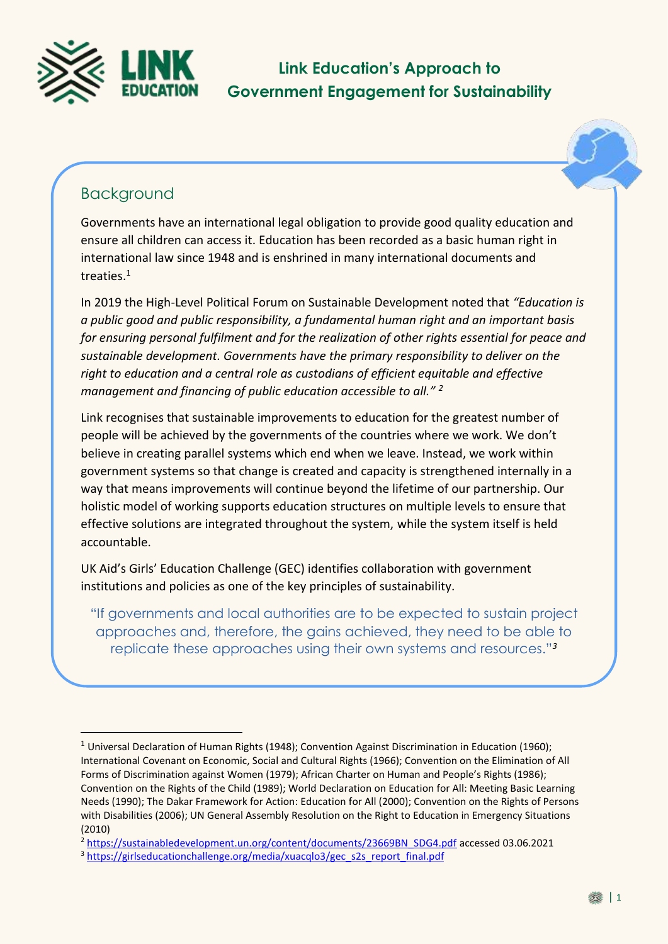

**Link Education's Approach to Government Engagement for Sustainability**



# Background

<u>.</u>

Governments have an international legal obligation to provide good quality education and ensure all children can access it. Education has been recorded as a basic human right in international law since 1948 and is enshrined in many international documents and treaties. 1

In 2019 the High-Level Political Forum on Sustainable Development noted that *"Education is a public good and public responsibility, a fundamental human right and an important basis for ensuring personal fulfilment and for the realization of other rights essential for peace and sustainable development. Governments have the primary responsibility to deliver on the right to education and a central role as custodians of efficient equitable and effective management and financing of public education accessible to all." <sup>2</sup>*

Link recognises that sustainable improvements to education for the greatest number of people will be achieved by the governments of the countries where we work. We don't believe in creating parallel systems which end when we leave. Instead, we work within government systems so that change is created and capacity is strengthened internally in a way that means improvements will continue beyond the lifetime of our partnership. Our holistic model of working supports education structures on multiple levels to ensure that effective solutions are integrated throughout the system, while the system itself is held accountable.

UK Aid's Girls' Education Challenge (GEC) identifies collaboration with government institutions and policies as one of the key principles of sustainability.

"If governments and local authorities are to be expected to sustain project approaches and, therefore, the gains achieved, they need to be able to replicate these approaches using their own systems and resources."*<sup>3</sup>*

<sup>2</sup> [https://sustainabledevelopment.un.org/content/documents/23669BN\\_SDG4.pdf](https://sustainabledevelopment.un.org/content/documents/23669BN_SDG4.pdf) accessed 03.06.2021

<sup>&</sup>lt;sup>1</sup> Universal Declaration of Human Rights (1948); Convention Against Discrimination in Education (1960); International Covenant on Economic, Social and Cultural Rights (1966); Convention on the Elimination of All Forms of Discrimination against Women (1979); African Charter on Human and People's Rights (1986); Convention on the Rights of the Child (1989); World Declaration on Education for All: Meeting Basic Learning Needs (1990); The Dakar Framework for Action: Education for All (2000); Convention on the Rights of Persons with Disabilities (2006); UN General Assembly Resolution on the Right to Education in Emergency Situations (2010)

<sup>&</sup>lt;sup>3</sup> [https://girlseducationchallenge.org/media/xuacqlo3/gec\\_s2s\\_report\\_final.pdf](https://girlseducationchallenge.org/media/xuacqlo3/gec_s2s_report_final.pdf)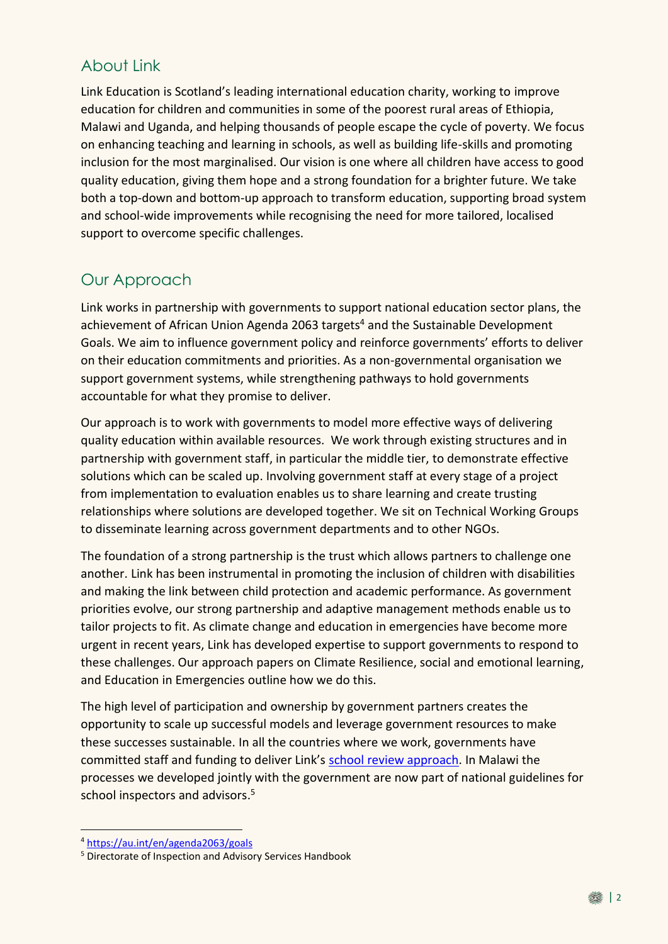## About Link

Link Education is Scotland's leading international education charity, working to improve education for children and communities in some of the poorest rural areas of Ethiopia, Malawi and Uganda, and helping thousands of people escape the cycle of poverty. We focus on enhancing teaching and learning in schools, as well as building life-skills and promoting inclusion for the most marginalised. Our vision is one where all children have access to good quality education, giving them hope and a strong foundation for a brighter future. We take both a top-down and bottom-up approach to transform education, supporting broad system and school-wide improvements while recognising the need for more tailored, localised support to overcome specific challenges.

# Our Approach

Link works in partnership with governments to support national education sector plans, the achievement of African Union Agenda 2063 targets<sup>4</sup> and the Sustainable Development Goals. We aim to influence government policy and reinforce governments' efforts to deliver on their education commitments and priorities. As a non-governmental organisation we support government systems, while strengthening pathways to hold governments accountable for what they promise to deliver.

Our approach is to work with governments to model more effective ways of delivering quality education within available resources. We work through existing structures and in partnership with government staff, in particular the middle tier, to demonstrate effective solutions which can be scaled up. Involving government staff at every stage of a project from implementation to evaluation enables us to share learning and create trusting relationships where solutions are developed together. We sit on Technical Working Groups to disseminate learning across government departments and to other NGOs.

The foundation of a strong partnership is the trust which allows partners to challenge one another. Link has been instrumental in promoting the inclusion of children with disabilities and making the link between child protection and academic performance. As government priorities evolve, our strong partnership and adaptive management methods enable us to tailor projects to fit. As climate change and education in emergencies have become more urgent in recent years, Link has developed expertise to support governments to respond to these challenges. Our approach papers on Climate Resilience, social and emotional learning, and Education in Emergencies outline how we do this.

The high level of participation and ownership by government partners creates the opportunity to scale up successful models and leverage government resources to make these successes sustainable. In all the countries where we work, governments have committed staff and funding to deliver Link's [school review approach.](https://linkeducation.org.uk/strengthening-leadership-and-governance/) In Malawi the processes we developed jointly with the government are now part of national guidelines for school inspectors and advisors. 5

<u>.</u>

<sup>4</sup> <https://au.int/en/agenda2063/goals>

<sup>5</sup> Directorate of Inspection and Advisory Services Handbook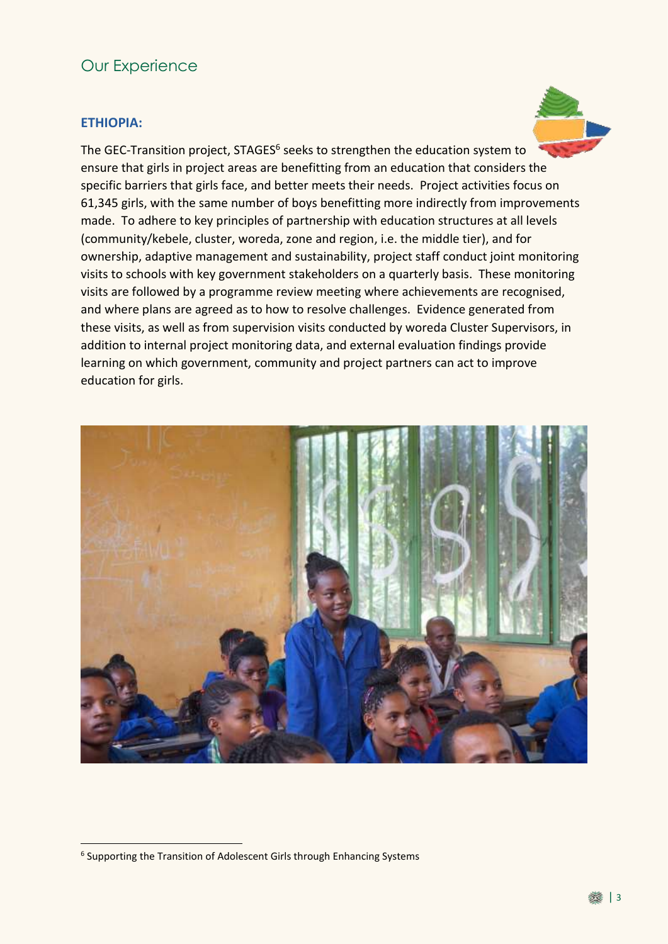### Our Experience

### **ETHIOPIA:**

The GEC-Transition project, STAGES<sup>6</sup> seeks to strengthen the education system to ensure that girls in project areas are benefitting from an education that considers the specific barriers that girls face, and better meets their needs. Project activities focus on 61,345 girls, with the same number of boys benefitting more indirectly from improvements made. To adhere to key principles of partnership with education structures at all levels (community/kebele, cluster, woreda, zone and region, i.e. the middle tier), and for ownership, adaptive management and sustainability, project staff conduct joint monitoring visits to schools with key government stakeholders on a quarterly basis. These monitoring visits are followed by a programme review meeting where achievements are recognised, and where plans are agreed as to how to resolve challenges. Evidence generated from these visits, as well as from supervision visits conducted by woreda Cluster Supervisors, in addition to internal project monitoring data, and external evaluation findings provide learning on which government, community and project partners can act to improve education for girls.



<u>.</u>

<sup>&</sup>lt;sup>6</sup> Supporting the Transition of Adolescent Girls through Enhancing Systems